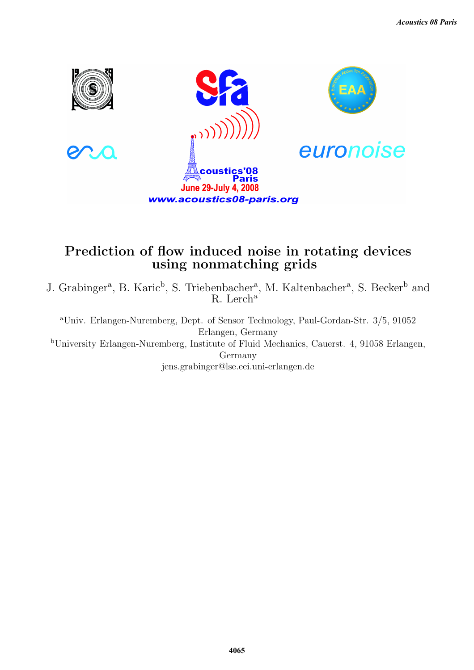

# Prediction of flow induced noise in rotating devices using nonmatching grids

J. Grabinger<sup>a</sup>, B. Karic<sup>b</sup>, S. Triebenbacher<sup>a</sup>, M. Kaltenbacher<sup>a</sup>, S. Becker<sup>b</sup> and R. Lerch<sup>a</sup>

<sup>a</sup>Univ. Erlangen-Nuremberg, Dept. of Sensor Technology, Paul-Gordan-Str. 3/5, 91052 Erlangen, Germany <sup>b</sup>University Erlangen-Nuremberg, Institute of Fluid Mechanics, Cauerst. 4, 91058 Erlangen, Germany jens.grabinger@lse.eei.uni-erlangen.de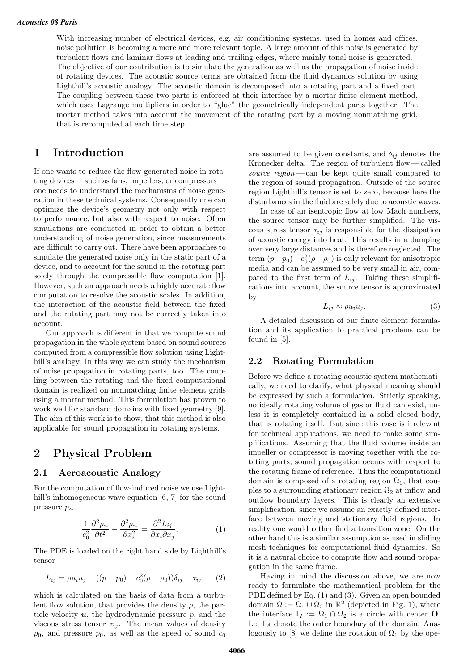With increasing number of electrical devices, e.g. air conditioning systems, used in homes and offices, noise pollution is becoming a more and more relevant topic. A large amount of this noise is generated by turbulent flows and laminar flows at leading and trailing edges, where mainly tonal noise is generated. The objective of our contribution is to simulate the generation as well as the propagation of noise inside of rotating devices. The acoustic source terms are obtained from the fluid dynamics solution by using Lighthill's acoustic analogy. The acoustic domain is decomposed into a rotating part and a fixed part. The coupling between these two parts is enforced at their interface by a mortar finite element method, which uses Lagrange multipliers in order to "glue" the geometrically independent parts together. The mortar method takes into account the movement of the rotating part by a moving nonmatching grid, that is recomputed at each time step.

### **1 Introduction**

If one wants to reduce the flow-generated noise in rotating devices — such as fans, impellers, or compressors one needs to understand the mechanisms of noise generation in these technical systems. Consequently one can optimize the device's geometry not only with respect to performance, but also with respect to noise. Often simulations are conducted in order to obtain a better understanding of noise generation, since measurements are difficult to carry out. There have been approaches to simulate the generated noise only in the static part of a device, and to account for the sound in the rotating part solely through the compressible flow computation [1]. However, such an approach needs a highly accurate flow computation to resolve the acoustic scales. In addition, the interaction of the acoustic field between the fixed and the rotating part may not be correctly taken into account.

Our approach is different in that we compute sound propagation in the whole system based on sound sources computed from a compressible flow solution using Lighthill's analogy. In this way we can study the mechanism of noise propagation in rotating parts, too. The coupling between the rotating and the fixed computational domain is realized on nonmatching finite element grids using a mortar method. This formulation has proven to work well for standard domains with fixed geometry [9]. The aim of this work is to show, that this method is also applicable for sound propagation in rotating systems.

### **2 Physical Problem**

#### **2.1 Aeroacoustic Analogy**

For the computation of flow-induced noise we use Lighthill's inhomogeneous wave equation [6, 7] for the sound pressure p<sup>∼</sup>

$$
\frac{1}{c_0^2} \frac{\partial^2 p_{\sim}}{\partial t^2} - \frac{\partial^2 p_{\sim}}{\partial x_i^2} = \frac{\partial^2 L_{ij}}{\partial x_i \partial x_j}.
$$
 (1)

The PDE is loaded on the right hand side by Lighthill's tensor

$$
L_{ij} = \rho u_i u_j + ((p - p_0) - c_0^2 (\rho - \rho_0)) \delta_{ij} - \tau_{ij}, \quad (2)
$$

which is calculated on the basis of data from a turbulent flow solution, that provides the density  $\rho$ , the particle velocity  $u$ , the hydrodynamic pressure  $p$ , and the viscous stress tensor  $\tau_{ij}$ . The mean values of density  $\rho_0$ , and pressure  $p_0$ , as well as the speed of sound  $c_0$  are assumed to be given constants, and  $\delta_{ij}$  denotes the Kronecker delta. The region of turbulent flow— called source region — can be kept quite small compared to the region of sound propagation. Outside of the source region Lighthill's tensor is set to zero, because here the disturbances in the fluid are solely due to acoustic waves.

In case of an isentropic flow at low Mach numbers, the source tensor may be further simplified. The viscous stress tensor  $\tau_{ij}$  is responsible for the dissipation of acoustic energy into heat. This results in a damping over very large distances and is therefore neglected. The term  $(p - p_0) - c_0^2 (\rho - \rho_0)$  is only relevant for anisotropic media and can be assumed to be very small in air, compared to the first term of  $L_{ij}$ . Taking these simplifications into account, the source tensor is approximated by

$$
L_{ij} \approx \rho u_i u_j. \tag{3}
$$

A detailed discussion of our finite element formulation and its application to practical problems can be found in [5].

#### **2.2 Rotating Formulation**

Before we define a rotating acoustic system mathematically, we need to clarify, what physical meaning should be expressed by such a formulation. Strictly speaking, no ideally rotating volume of gas or fluid can exist, unless it is completely contained in a solid closed body, that is rotating itself. But since this case is irrelevant for technical applications, we need to make some simplifications. Assuming that the fluid volume inside an impeller or compressor is moving together with the rotating parts, sound propagation occurs with respect to the rotating frame of reference. Thus the computational domain is composed of a rotating region  $\Omega_1$ , that couples to a surrounding stationary region  $\Omega_2$  at inflow and outflow boundary layers. This is clearly an extensive simplification, since we assume an exactly defined interface between moving and stationary fluid regions. In reality one would rather find a transition zone. On the other hand this is a similar assumption as used in sliding mesh techniques for computational fluid dynamics. So it is a natural choice to compute flow and sound propagation in the same frame.

Having in mind the discussion above, we are now ready to formulate the mathematical problem for the PDE defined by Eq. (1) and (3). Given an open bounded domain  $\Omega := \Omega_1 \cup \Omega_2$  in  $\mathbb{R}^2$  (depicted in Fig. 1), where the interface  $\Gamma_I := \Omega_1 \cap \Omega_2$  is a circle with center **O**. Let  $\Gamma_A$  denote the outer boundary of the domain. Analogously to [8] we define the rotation of  $\Omega_1$  by the ope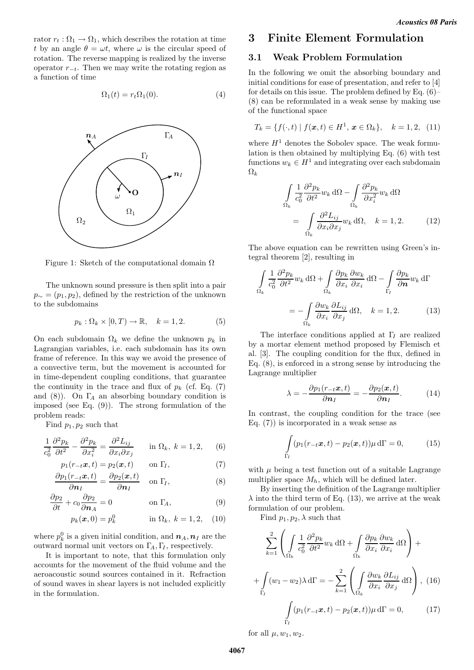rator  $r_t : \Omega_1 \to \Omega_1$ , which describes the rotation at time t by an angle  $\theta = \omega t$ , where  $\omega$  is the circular speed of rotation. The reverse mapping is realized by the inverse operator  $r_{-t}$ . Then we may write the rotating region as a function of time

$$
\Omega_1(t) = r_t \Omega_1(0). \tag{4}
$$



Figure 1: Sketch of the computational domain  $\Omega$ 

The unknown sound pressure is then split into a pair  $p_{\sim} = (p_1, p_2)$ , defined by the restriction of the unknown to the subdomains

$$
p_k: \Omega_k \times [0, T) \to \mathbb{R}, \quad k = 1, 2. \tag{5}
$$

On each subdomain  $\Omega_k$  we define the unknown  $p_k$  in Lagrangian variables, i.e. each subdomain has its own frame of reference. In this way we avoid the presence of a convective term, but the movement is accounted for in time-dependent coupling conditions, that guarantee the continuity in the trace and flux of  $p_k$  (cf. Eq. (7) and (8)). On  $\Gamma_A$  an absorbing boundary condition is imposed (see Eq. (9)). The strong formulation of the problem reads:

Find  $p_1, p_2$  such that

$$
\frac{1}{c_0^2} \frac{\partial^2 p_k}{\partial t^2} - \frac{\partial^2 p_k}{\partial x_i^2} = \frac{\partial^2 L_{ij}}{\partial x_i \partial x_j} \quad \text{in } \Omega_k, \ k = 1, 2, \quad (6)
$$

$$
p_1(r_{-t}\boldsymbol{x}, t) = p_2(\boldsymbol{x}, t) \quad \text{on } \Gamma_I,
$$
 (7)

$$
\frac{\partial p_1(r_{-t}\boldsymbol{x},t)}{\partial \boldsymbol{n}_I} = \frac{\partial p_2(\boldsymbol{x},t)}{\partial \boldsymbol{n}_I} \quad \text{on } \Gamma_I,
$$
\n(8)

$$
\frac{\partial p_2}{\partial t} + c_0 \frac{\partial p_2}{\partial n_A} = 0 \qquad \text{on } \Gamma_A,
$$
 (9)

$$
p_k(x, 0) = p_k^0
$$
 in  $\Omega_k$ ,  $k = 1, 2$ , (10)

where  $p_k^0$  is a given initial condition, and  $n_A, n_I$  are the outward normal unit vectors on  $\Gamma_A, \Gamma_I$ , respectively.

It is important to note, that this formulation only accounts for the movement of the fluid volume and the aeroacoustic sound sources contained in it. Refraction of sound waves in shear layers is not included explicitly in the formulation.

### **3 Finite Element Formulation**

#### **3.1 Weak Problem Formulation**

In the following we omit the absorbing boundary and initial conditions for ease of presentation, and refer to [4] for details on this issue. The problem defined by Eq. (6)– (8) can be reformulated in a weak sense by making use of the functional space

$$
T_k = \{ f(\cdot, t) \mid f(\boldsymbol{x}, t) \in H^1, \, \boldsymbol{x} \in \Omega_k \}, \quad k = 1, 2, \tag{11}
$$

where  $H<sup>1</sup>$  denotes the Sobolev space. The weak formulation is then obtained by multiplying Eq. (6) with test functions  $w_k \in H^1$  and integrating over each subdomain  $\Omega_k$ 

$$
\int_{\Omega_k} \frac{1}{c_0^2} \frac{\partial^2 p_k}{\partial t^2} w_k \, d\Omega - \int_{\Omega_k} \frac{\partial^2 p_k}{\partial x_i^2} w_k \, d\Omega
$$
\n
$$
= \int_{\Omega_k} \frac{\partial^2 L_{ij}}{\partial x_i \partial x_j} w_k \, d\Omega, \quad k = 1, 2. \tag{12}
$$

The above equation can be rewritten using Green's integral theorem [2], resulting in

$$
\int_{\Omega_k} \frac{1}{c_0^2} \frac{\partial^2 p_k}{\partial t^2} w_k \, d\Omega + \int_{\Omega_k} \frac{\partial p_k}{\partial x_i} \frac{\partial w_k}{\partial x_i} \, d\Omega - \int_{\Gamma_I} \frac{\partial p_k}{\partial n} w_k \, d\Gamma
$$
\n
$$
= - \int_{\Omega_k} \frac{\partial w_k}{\partial x_i} \frac{\partial L_{ij}}{\partial x_j} \, d\Omega, \quad k = 1, 2. \tag{13}
$$

The interface conditions applied at  $\Gamma_I$  are realized by a mortar element method proposed by Flemisch et al. [3]. The coupling condition for the flux, defined in Eq. (8), is enforced in a strong sense by introducing the Lagrange multiplier

$$
\lambda = -\frac{\partial p_1(r_{-t}\mathbf{x},t)}{\partial \mathbf{n}_I} = -\frac{\partial p_2(\mathbf{x},t)}{\partial \mathbf{n}_I}.
$$
 (14)

In contrast, the coupling condition for the trace (see Eq.  $(7)$  is incorporated in a weak sense as

$$
\int_{\Gamma_I} (p_1(r_{-t}\boldsymbol{x},t) - p_2(\boldsymbol{x},t))\mu \,d\Gamma = 0, \tag{15}
$$

with  $\mu$  being a test function out of a suitable Lagrange multiplier space  $M_h$ , which will be defined later.

By inserting the definition of the Lagrange multiplier  $\lambda$  into the third term of Eq. (13), we arrive at the weak formulation of our problem.

Find  $p_1, p_2, \lambda$  such that

$$
\sum_{k=1}^{2} \left( \int_{\Omega_k} \frac{1}{c_0^2} \frac{\partial^2 p_k}{\partial t^2} w_k \, d\Omega + \int_{\Omega_k} \frac{\partial p_k}{\partial x_i} \frac{\partial w_k}{\partial x_i} \, d\Omega \right) +
$$

$$
+ \int_{\Gamma_I} (w_1 - w_2) \lambda \, d\Gamma = - \sum_{k=1}^{2} \left( \int_{\Omega_k} \frac{\partial w_k}{\partial x_i} \frac{\partial L_{ij}}{\partial x_j} \, d\Omega \right), \tag{16}
$$

$$
\int_{\Gamma_I} (p_1(r_{-t}x, t) - p_2(x, t)) \mu \, d\Gamma = 0, \tag{17}
$$

for all  $\mu, w_1, w_2$ .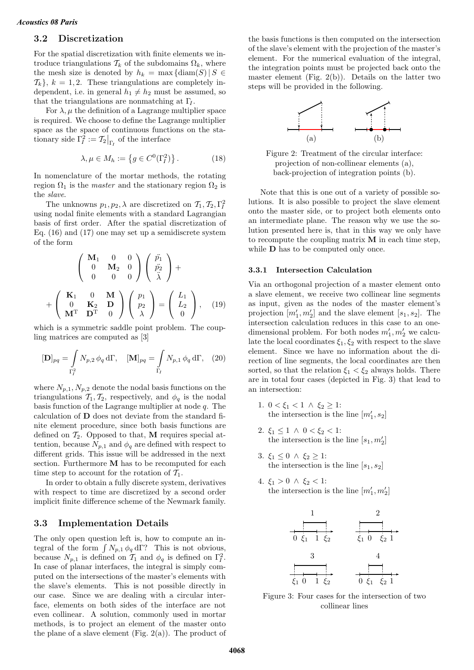#### **3.2 Discretization**

For the spatial discretization with finite elements we introduce triangulations  $\mathcal{T}_k$  of the subdomains  $\Omega_k$ , where the mesh size is denoted by  $h_k = \max \{ \text{diam}(S) | S \in$  $\{\mathcal{T}_k\}, k = 1, 2$ . These triangulations are completely independent, i.e. in general  $h_1 \neq h_2$  must be assumed, so that the triangulations are nonmatching at  $\Gamma$ .

For  $\lambda, \mu$  the definition of a Lagrange multiplier space is required. We choose to define the Lagrange multiplier space as the space of continuous functions on the stationary side  $\Gamma_I^2 := \mathcal{T}_2|_{\Gamma_I}$  of the interface

$$
\lambda, \mu \in M_h := \left\{ g \in C^0(\Gamma_I^2) \right\}.
$$
 (18)

In nomenclature of the mortar methods, the rotating region  $\Omega_1$  is the *master* and the stationary region  $\Omega_2$  is the slave.

The unknowns  $p_1, p_2, \lambda$  are discretized on  $\mathcal{T}_1, \mathcal{T}_2, \Gamma_I^2$ using nodal finite elements with a standard Lagrangian basis of first order. After the spatial discretization of Eq. (16) and (17) one may set up a semidiscrete system of the form

$$
\begin{pmatrix}\n\mathbf{M}_1 & 0 & 0 \\
0 & \mathbf{M}_2 & 0 \\
0 & 0 & 0\n\end{pmatrix}\n\begin{pmatrix}\n\ddot{p}_1 \\
\ddot{p}_2 \\
\ddot{\lambda}\n\end{pmatrix} + \n+ \begin{pmatrix}\n\mathbf{K}_1 & 0 & \mathbf{M} \\
0 & \mathbf{K}_2 & \mathbf{D} \\
\mathbf{M}^T & \mathbf{D}^T & 0\n\end{pmatrix}\n\begin{pmatrix}\np_1 \\
p_2 \\
\lambda\n\end{pmatrix} = \begin{pmatrix}\nL_1 \\
L_2 \\
0\n\end{pmatrix}, \quad (19)
$$

which is a symmetric saddle point problem. The coupling matrices are computed as [3]

$$
[\mathbf{D}]_{pq} = \int\limits_{\Gamma_l^2} N_{p,2} \phi_q \, d\Gamma, \quad [\mathbf{M}]_{pq} = \int\limits_{\Gamma_l} N_{p,1} \phi_q \, d\Gamma, \quad (20)
$$

where  $N_{p,1}, N_{p,2}$  denote the nodal basis functions on the triangulations  $\mathcal{T}_1, \mathcal{T}_2$ , respectively, and  $\phi_q$  is the nodal basis function of the Lagrange multiplier at node  $q$ . The calculation of **D** does not deviate from the standard finite element procedure, since both basis functions are defined on  $\mathcal{T}_2$ . Opposed to that, M requires special attention, because  $N_{p,1}$  and  $\phi_q$  are defined with respect to different grids. This issue will be addressed in the next section. Furthermore **M** has to be recomputed for each time step to account for the rotation of  $\mathcal{T}_1$ .

In order to obtain a fully discrete system, derivatives with respect to time are discretized by a second order implicit finite difference scheme of the Newmark family.

#### **3.3 Implementation Details**

The only open question left is, how to compute an integral of the form  $\int N_{p,1} \phi_q d\Gamma$ ? This is not obvious, because  $N_{p,1}$  is defined on  $T_1$  and  $\phi_q$  is defined on  $\Gamma_I^2$ . In case of planar interfaces, the integral is simply computed on the intersections of the master's elements with the slave's elements. This is not possible directly in our case. Since we are dealing with a circular interface, elements on both sides of the interface are not even collinear. A solution, commonly used in mortar methods, is to project an element of the master onto the plane of a slave element (Fig.  $2(a)$ ). The product of the basis functions is then computed on the intersection of the slave's element with the projection of the master's element. For the numerical evaluation of the integral, the integration points must be projected back onto the master element (Fig.  $2(b)$ ). Details on the latter two steps will be provided in the following.



Figure 2: Treatment of the circular interface: projection of non-collinear elements (a), back-projection of integration points (b).

Note that this is one out of a variety of possible solutions. It is also possible to project the slave element onto the master side, or to project both elements onto an intermediate plane. The reason why we use the solution presented here is, that in this way we only have to recompute the coupling matrix **M** in each time step, while **D** has to be computed only once.

#### **3.3.1 Intersection Calculation**

Via an orthogonal projection of a master element onto a slave element, we receive two collinear line segments as input, given as the nodes of the master element's projection  $[m'_1, m'_2]$  and the slave element  $[s_1, s_2]$ . The intersection calculation reduces in this case to an onedimensional problem. For both nodes  $m'_1, m'_2$  we calculate the local coordinates  $\xi_1, \xi_2$  with respect to the slave element. Since we have no information about the direction of line segments, the local coordinates are then sorted, so that the relation  $\xi_1 < \xi_2$  always holds. There are in total four cases (depicted in Fig. 3) that lead to an intersection:

- 1.  $0 < \xi_1 < 1 \land \xi_2 \geq 1$ : the intersection is the line  $[m'_1, s_2]$
- 2.  $\xi_1 \leq 1 \land 0 < \xi_2 < 1$ : the intersection is the line  $[s_1, m'_2]$
- 3.  $\xi_1 \leq 0 \land \xi_2 \geq 1$ : the intersection is the line  $[s_1, s_2]$
- 4.  $\xi_1 > 0 \land \xi_2 < 1$ : the intersection is the line  $[m'_1, m'_2]$



Figure 3: Four cases for the intersection of two collinear lines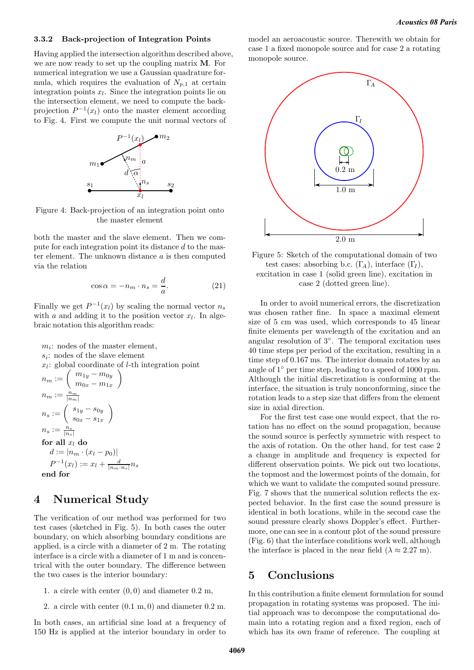#### **3.3.2 Back-projection of Integration Points**

Having applied the intersection algorithm described above, we are now ready to set up the coupling matrix **M**. For numerical integration we use a Gaussian quadrature formula, which requires the evaluation of  $N_{p,1}$  at certain integration points  $x_l$ . Since the integration points lie on the intersection element, we need to compute the backprojection  $P^{-1}(x_l)$  onto the master element according to Fig. 4. First we compute the unit normal vectors of



Figure 4: Back-projection of an integration point onto the master element

both the master and the slave element. Then we compute for each integration point its distance d to the master element. The unknown distance  $a$  is then computed via the relation

$$
\cos \alpha = -n_m \cdot n_s = \frac{d}{a}.\tag{21}
$$

Finally we get  $P^{-1}(x_l)$  by scaling the normal vector  $n_s$ with a and adding it to the position vector  $x_l$ . In algebraic notation this algorithm reads:

 $m_i$ : nodes of the master element,  $s_i$ : nodes of the slave element  $x_l$ : global coordinate of *l*-th integration point  $n_m := \left( \begin{array}{c} m_{1y}-m_{0y} \ m_{0x}-m_{1x} \end{array} \right.$  $\setminus$  $n_m := \frac{n_m}{|n_m|}$  $n_s:=\left( \begin{array}{c} s_{1y}-s_{0y}\ s_{0x}-s_{1x} \end{array} \right)$  $\setminus$  $n_s := \frac{n_s}{|n_s|}$ for all  $x_l$  **do**  $d := |n_m \cdot (x_l - p_0)|$  $P^{-1}(x_l) := x_l + \frac{d}{|n_m \cdot n_s|} n_s$ **end for**

### **4 Numerical Study**

The verification of our method was performed for two test cases (sketched in Fig. 5). In both cases the outer boundary, on which absorbing boundary conditions are applied, is a circle with a diameter of 2 m. The rotating interface is a circle with a diameter of 1 m and is concentrical with the outer boundary. The difference between the two cases is the interior boundary:

- 1. a circle with center  $(0, 0)$  and diameter  $0.2$  m,
- 2. a circle with center (0.1 m, 0) and diameter 0.2 m.

In both cases, an artificial sine load at a frequency of 150 Hz is applied at the interior boundary in order to model an aeroacoustic source. Therewith we obtain for case 1 a fixed monopole source and for case 2 a rotating monopole source.



Figure 5: Sketch of the computational domain of two test cases: absorbing b.c.  $(\Gamma_A)$ , interface  $(\Gamma_I)$ , excitation in case 1 (solid green line), excitation in case 2 (dotted green line).

In order to avoid numerical errors, the discretization was chosen rather fine. In space a maximal element size of 5 cm was used, which corresponds to 45 linear finite elements per wavelength of the excitation and an angular resolution of 3◦. The temporal excitation uses 40 time steps per period of the excitation, resulting in a time step of 0.167 ms. The interior domain rotates by an angle of 1◦ per time step, leading to a speed of 1000 rpm. Although the initial discretization is conforming at the interface, the situation is truly nonconforming, since the rotation leads to a step size that differs from the element size in axial direction.

For the first test case one would expect, that the rotation has no effect on the sound propagation, because the sound source is perfectly symmetric with respect to the axis of rotation. On the other hand, for test case 2 a change in amplitude and frequency is expected for different observation points. We pick out two locations, the topmost and the lowermost points of the domain, for which we want to validate the computed sound pressure. Fig. 7 shows that the numerical solution reflects the expected behavior. In the first case the sound pressure is identical in both locations, while in the second case the sound pressure clearly shows Doppler's effect. Furthermore, one can see in a contour plot of the sound pressure (Fig. 6) that the interface conditions work well, although the interface is placed in the near field  $(\lambda \approx 2.27 \text{ m})$ .

### **5 Conclusions**

In this contribution a finite element formulation for sound propagation in rotating systems was proposed. The initial approach was to decompose the computational domain into a rotating region and a fixed region, each of which has its own frame of reference. The coupling at